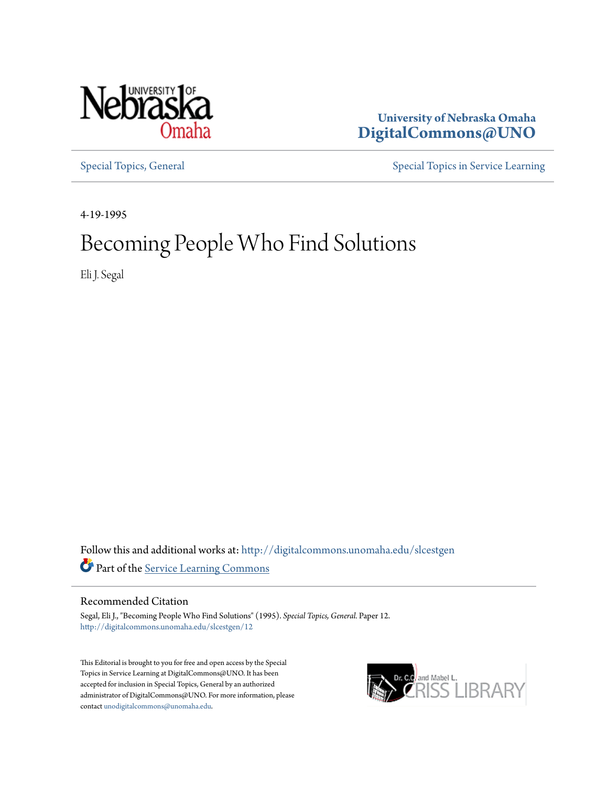

## **University of Nebraska Omaha [DigitalCommons@UNO](http://digitalcommons.unomaha.edu?utm_source=digitalcommons.unomaha.edu%2Fslcestgen%2F12&utm_medium=PDF&utm_campaign=PDFCoverPages)**

[Special Topics, General](http://digitalcommons.unomaha.edu/slcestgen?utm_source=digitalcommons.unomaha.edu%2Fslcestgen%2F12&utm_medium=PDF&utm_campaign=PDFCoverPages) [Special Topics in Service Learning](http://digitalcommons.unomaha.edu/slcespecialtopics?utm_source=digitalcommons.unomaha.edu%2Fslcestgen%2F12&utm_medium=PDF&utm_campaign=PDFCoverPages)

4-19-1995

## Becoming People Who Find Solutions

Eli J. Segal

Follow this and additional works at: [http://digitalcommons.unomaha.edu/slcestgen](http://digitalcommons.unomaha.edu/slcestgen?utm_source=digitalcommons.unomaha.edu%2Fslcestgen%2F12&utm_medium=PDF&utm_campaign=PDFCoverPages) Part of the [Service Learning Commons](http://network.bepress.com/hgg/discipline/1024?utm_source=digitalcommons.unomaha.edu%2Fslcestgen%2F12&utm_medium=PDF&utm_campaign=PDFCoverPages)

Recommended Citation

Segal, Eli J., "Becoming People Who Find Solutions" (1995). *Special Topics, General.* Paper 12. [http://digitalcommons.unomaha.edu/slcestgen/12](http://digitalcommons.unomaha.edu/slcestgen/12?utm_source=digitalcommons.unomaha.edu%2Fslcestgen%2F12&utm_medium=PDF&utm_campaign=PDFCoverPages)

This Editorial is brought to you for free and open access by the Special Topics in Service Learning at DigitalCommons@UNO. It has been accepted for inclusion in Special Topics, General by an authorized administrator of DigitalCommons@UNO. For more information, please contact [unodigitalcommons@unomaha.edu.](mailto:unodigitalcommons@unomaha.edu)